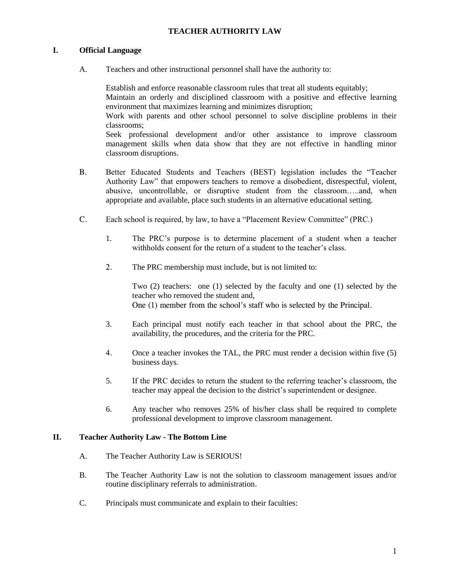## **TEACHER AUTHORITY LAW**

## **I. Official Language**

A. Teachers and other instructional personnel shall have the authority to:

Establish and enforce reasonable classroom rules that treat all students equitably; Maintain an orderly and disciplined classroom with a positive and effective learning environment that maximizes learning and minimizes disruption; Work with parents and other school personnel to solve discipline problems in their classrooms; Seek professional development and/or other assistance to improve classroom management skills when data show that they are not effective in handling minor classroom disruptions.

- B. Better Educated Students and Teachers (BEST) legislation includes the "Teacher Authority Law" that empowers teachers to remove a disobedient, disrespectful, violent, abusive, uncontrollable, or disruptive student from the classroom…..and, when appropriate and available, place such students in an alternative educational setting.
- C. Each school is required, by law, to have a "Placement Review Committee" (PRC.)
	- 1. The PRC's purpose is to determine placement of a student when a teacher withholds consent for the return of a student to the teacher's class.
	- 2. The PRC membership must include, but is not limited to:

Two (2) teachers: one (1) selected by the faculty and one (1) selected by the teacher who removed the student and, One (1) member from the school's staff who is selected by the Principal.

- 3. Each principal must notify each teacher in that school about the PRC, the availability, the procedures, and the criteria for the PRC.
- 4. Once a teacher invokes the TAL, the PRC must render a decision within five (5) business days.
- 5. If the PRC decides to return the student to the referring teacher's classroom, the teacher may appeal the decision to the district's superintendent or designee.
- 6. Any teacher who removes 25% of his/her class shall be required to complete professional development to improve classroom management.

### **II. Teacher Authority Law - The Bottom Line**

- A. The Teacher Authority Law is SERIOUS!
- B. The Teacher Authority Law is not the solution to classroom management issues and/or routine disciplinary referrals to administration.
- C. Principals must communicate and explain to their faculties: